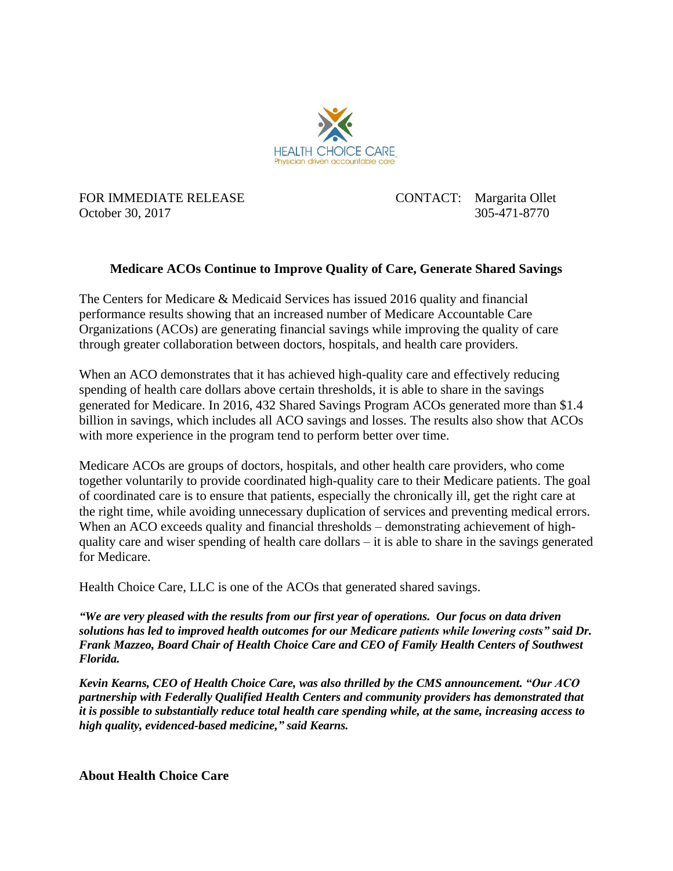

FOR IMMEDIATE RELEASE CONTACT: Margarita Ollet October 30, 2017 305-471-8770

## **Medicare ACOs Continue to Improve Quality of Care, Generate Shared Savings**

The Centers for Medicare & Medicaid Services has issued 2016 quality and financial performance results showing that an increased number of Medicare Accountable Care Organizations (ACOs) are generating financial savings while improving the quality of care through greater collaboration between doctors, hospitals, and health care providers.

When an ACO demonstrates that it has achieved high-quality care and effectively reducing spending of health care dollars above certain thresholds, it is able to share in the savings generated for Medicare. In 2016, 432 Shared Savings Program ACOs generated more than \$1.4 billion in savings, which includes all ACO savings and losses. The results also show that ACOs with more experience in the program tend to perform better over time.

Medicare ACOs are groups of doctors, hospitals, and other health care providers, who come together voluntarily to provide coordinated high-quality care to their Medicare patients. The goal of coordinated care is to ensure that patients, especially the chronically ill, get the right care at the right time, while avoiding unnecessary duplication of services and preventing medical errors. When an ACO exceeds quality and financial thresholds – demonstrating achievement of highquality care and wiser spending of health care dollars – it is able to share in the savings generated for Medicare.

Health Choice Care, LLC is one of the ACOs that generated shared savings.

*"We are very pleased with the results from our first year of operations. Our focus on data driven solutions has led to improved health outcomes for our Medicare patients while lowering costs" said Dr. Frank Mazzeo, Board Chair of Health Choice Care and CEO of Family Health Centers of Southwest Florida.*

*Kevin Kearns, CEO of Health Choice Care, was also thrilled by the CMS announcement. "Our ACO partnership with Federally Qualified Health Centers and community providers has demonstrated that it is possible to substantially reduce total health care spending while, at the same, increasing access to high quality, evidenced-based medicine," said Kearns.*

**About Health Choice Care**